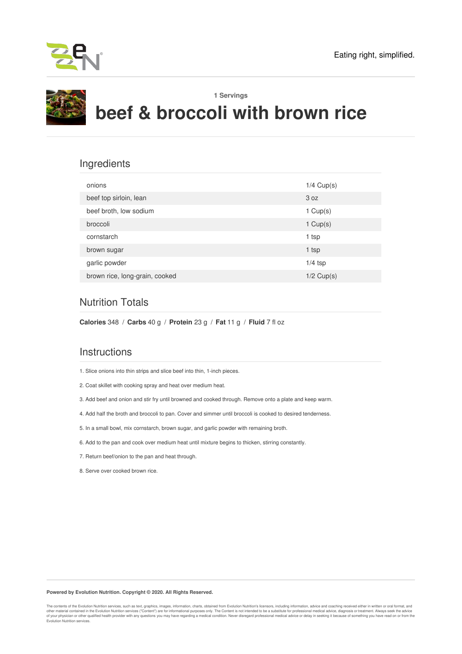



## Ingredients

| onions                         | $1/4$ Cup(s) |
|--------------------------------|--------------|
| beef top sirloin, lean         | 3 oz         |
| beef broth, low sodium         | 1 $Cup(s)$   |
| broccoli                       | 1 $Cup(s)$   |
| cornstarch                     | 1 tsp        |
| brown sugar                    | 1 tsp        |
| garlic powder                  | $1/4$ tsp    |
| brown rice, long-grain, cooked | $1/2$ Cup(s) |

## Nutrition Totals

**Calories** 348 / **Carbs** 40 g / **Protein** 23 g / **Fat** 11 g / **Fluid** 7 fl oz

## **Instructions**

1. Slice onions into thin strips and slice beef into thin, 1-inch pieces.

- 2. Coat skillet with cooking spray and heat over medium heat.
- 3. Add beef and onion and stir fry until browned and cooked through. Remove onto a plate and keep warm.
- 4. Add half the broth and broccoli to pan. Cover and simmer until broccoli is cooked to desired tenderness.
- 5. In a small bowl, mix cornstarch, brown sugar, and garlic powder with remaining broth.
- 6. Add to the pan and cook over medium heat until mixture begins to thicken, stirring constantly.
- 7. Return beef/onion to the pan and heat through.
- 8. Serve over cooked brown rice.

#### **Powered by Evolution Nutrition. Copyright © 2020. All Rights Reserved.**

The contents of the Evolution Nutrition services, such as text, graphics, images, information, charts, obtained from Evolution Nutrition's licensors, including information, advice and coaching received either in written or other material contained in the Evolution Nutrition services ("Content") are for informational purposes only. The Content is not intended to be a substitute for professional medical advice, diagnosis or treatment. Always s